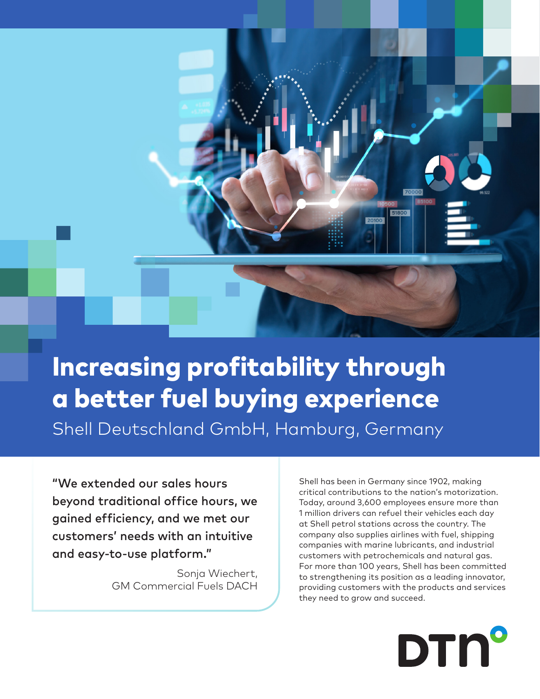

# Increasing profitability through a better fuel buying experience Shell Deutschland GmbH, Hamburg, Germany

"We extended our sales hours beyond traditional office hours, we gained efficiency, and we met our customers' needs with an intuitive and easy-to-use platform."

> Sonja Wiechert, GM Commercial Fuels DACH

Shell has been in Germany since 1902, making critical contributions to the nation's motorization. Today, around 3,600 employees ensure more than 1 million drivers can refuel their vehicles each day at Shell petrol stations across the country. The company also supplies airlines with fuel, shipping companies with marine lubricants, and industrial customers with petrochemicals and natural gas. For more than 100 years, Shell has been committed to strengthening its position as a leading innovator, providing customers with the products and services they need to grow and succeed.